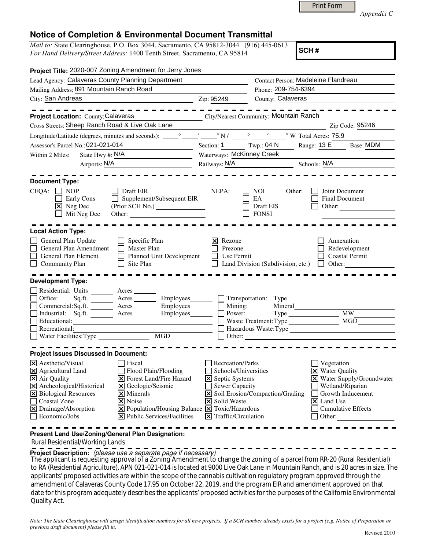|  | <b>Print Form</b> |
|--|-------------------|
|  |                   |

*Appendix C* 

## **Notice of Completion & Environmental Document Transmittal**

*Mail to:* State Clearinghouse, P.O. Box 3044, Sacramento, CA 95812-3044 (916) 445-0613 *For Hand Delivery/Street Address:* 1400 Tenth Street, Sacramento, CA 95814

**SCH #**

| Project Title: 2020-007 Zoning Amendment for Jerry Jones                                                                                                                                                                                                                                                                                                                                                                                                                                                  |                                                                                                                                                                                                                                                                                                                                                                                      |
|-----------------------------------------------------------------------------------------------------------------------------------------------------------------------------------------------------------------------------------------------------------------------------------------------------------------------------------------------------------------------------------------------------------------------------------------------------------------------------------------------------------|--------------------------------------------------------------------------------------------------------------------------------------------------------------------------------------------------------------------------------------------------------------------------------------------------------------------------------------------------------------------------------------|
| Lead Agency: Calaveras County Planning Department                                                                                                                                                                                                                                                                                                                                                                                                                                                         | Contact Person: Madeleine Flandreau                                                                                                                                                                                                                                                                                                                                                  |
| Mailing Address: 891 Mountain Ranch Road                                                                                                                                                                                                                                                                                                                                                                                                                                                                  | Phone: 209-754-6394                                                                                                                                                                                                                                                                                                                                                                  |
| City: San Andreas                                                                                                                                                                                                                                                                                                                                                                                                                                                                                         | County: Calaveras<br>Zip: 95249                                                                                                                                                                                                                                                                                                                                                      |
| $- - - - - - -$                                                                                                                                                                                                                                                                                                                                                                                                                                                                                           |                                                                                                                                                                                                                                                                                                                                                                                      |
| <b>Project Location: County: Calaveras</b>                                                                                                                                                                                                                                                                                                                                                                                                                                                                | City/Nearest Community: Mountain Ranch                                                                                                                                                                                                                                                                                                                                               |
| Cross Streets: Sheep Ranch Road & Live Oak Lane                                                                                                                                                                                                                                                                                                                                                                                                                                                           | Zip Code: 95246                                                                                                                                                                                                                                                                                                                                                                      |
|                                                                                                                                                                                                                                                                                                                                                                                                                                                                                                           |                                                                                                                                                                                                                                                                                                                                                                                      |
| Assessor's Parcel No.: 021-021-014                                                                                                                                                                                                                                                                                                                                                                                                                                                                        | Section: 1 Twp.: 04 N<br>Base: MDM<br>Range: 13 E                                                                                                                                                                                                                                                                                                                                    |
| State Hwy #: $N/A$<br>Within 2 Miles:                                                                                                                                                                                                                                                                                                                                                                                                                                                                     | Waterways: McKinney Creek                                                                                                                                                                                                                                                                                                                                                            |
| Airports: N/A<br><u> 1990 - Johann Barbara, martin a</u>                                                                                                                                                                                                                                                                                                                                                                                                                                                  | Railways: $N/A$<br>Schools: N/A                                                                                                                                                                                                                                                                                                                                                      |
| <b>Document Type:</b><br>CEQA: □ NOP<br>Draft EIR<br>Supplement/Subsequent EIR<br>Early Cons<br>$\perp$<br>$\boxtimes$ Neg Dec<br>Mit Neg Dec<br>Other:                                                                                                                                                                                                                                                                                                                                                   | NEPA:<br>NOI.<br>Other:<br>Joint Document<br>EA<br>Final Document<br>Draft EIS<br>Other:<br><b>FONSI</b>                                                                                                                                                                                                                                                                             |
| <b>Local Action Type:</b><br>$\Box$ Specific Plan<br>General Plan Update<br>General Plan Amendment<br>$\Box$ Master Plan<br>Planned Unit Development<br>General Plan Element<br>$\Box$ Community Plan<br>$\Box$ Site Plan                                                                                                                                                                                                                                                                                 | $\vert \mathsf{x} \vert$ Rezone<br>Annexation<br>Redevelopment<br>Prezone<br><b>Coastal Permit</b><br>Use Permit<br>Land Division (Subdivision, etc.)<br>$\Box$ Other:                                                                                                                                                                                                               |
| <b>Development Type:</b><br>Residential: Units ________ Acres_<br>Sq.ft. _________ Acres __________ Employees________<br>Office:<br>Commercial:Sq.ft. Acres Employees Mining:<br>Industrial: Sq.ft. <u>Acres</u><br>Educational:<br>Recreational:<br>Water Facilities: Type MGD                                                                                                                                                                                                                           | $\Box$ Transportation: Type<br>Mineral<br><b>MW</b><br>Power:<br>Waste Treatment: Type<br>MGD<br>Hazardous Waste:Type                                                                                                                                                                                                                                                                |
| <b>Project Issues Discussed in Document:</b>                                                                                                                                                                                                                                                                                                                                                                                                                                                              |                                                                                                                                                                                                                                                                                                                                                                                      |
| $\times$ Aesthetic/Visual<br>Fiscal<br>X Agricultural Land<br>Flood Plain/Flooding<br>$\boxtimes$ Air Quality<br><b>X</b> Forest Land/Fire Hazard<br>X Archeological/Historical<br>X Geologic/Seismic<br>X Biological Resources<br>$\times$ Minerals<br>□ Coastal Zone<br>$ \mathsf{X} $ Noise<br>$\boxtimes$ Drainage/Absorption<br>$\boxed{\mathbf{X}}$ Population/Housing Balance $\boxed{\mathbf{X}}$ Toxic/Hazardous<br>$\Box$ Economic/Jobs<br>$ \mathbf{\overline{X}} $ Public Services/Facilities | <b>Recreation/Parks</b><br>Vegetation<br>Schools/Universities<br><b>X</b> Water Quality<br>X Water Supply/Groundwater<br>$\boxtimes$ Septic Systems<br>Wetland/Riparian<br>Sewer Capacity<br>X Soil Erosion/Compaction/Grading<br>Growth Inducement<br>X Solid Waste<br>$\vert\mathsf{X}\vert$ Land Use<br><b>Cumulative Effects</b><br>$ \mathsf{X} $ Traffic/Circulation<br>Other: |

**Present Land Use/Zoning/General Plan Designation:**

## Rural Residential/Working Lands

**Project Description:** (please use a separate page if necessary)

The applicant is requesting approval of a Zoning Amendment to change the zoning of a parcel from RR-20 (Rural Residential) to RA (Residential Agriculture). APN 021-021-014 is located at 9000 Live Oak Lane in Mountain Ranch, and is 20 acres in size. The applicants' proposed activities are within the scope of the cannabis cultivation regulatory program approved through the amendment of Calaveras County Code 17.95 on October 22, 2019, and the program EIR and amendment approved on that date for this program adequately describes the applicants' proposed activities for the purposes of the California Environmental Quality Act.

*Note: The State Clearinghouse will assign identification numbers for all new projects. If a SCH number already exists for a project (e.g. Notice of Preparation or previous draft document) please fill in.*